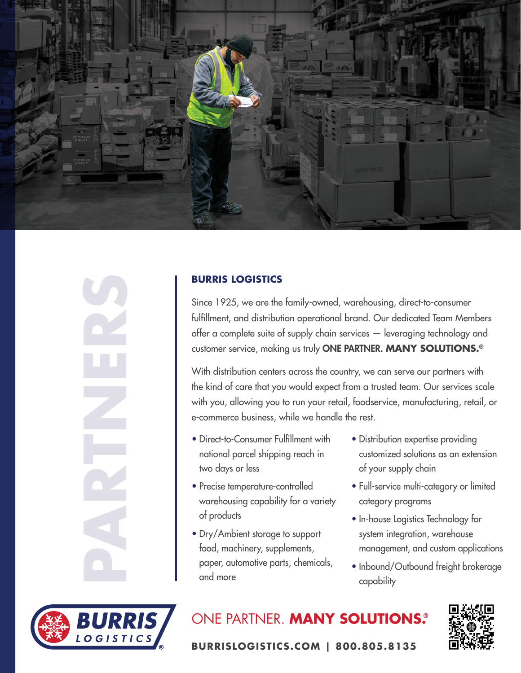

## **BURRIS LOGISTICS**

Since 1925, we are the family-owned, warehousing, direct-to-consumer fulfillment, and distribution operational brand. Our dedicated Team Members offer a complete suite of supply chain services — leveraging technology and customer service, making us truly ONE PARTNER. **MANY SOLUTIONS.®**

With distribution centers across the country, we can serve our partners with the kind of care that you would expect from a trusted team. Our services scale with you, allowing you to run your retail, foodservice, manufacturing, retail, or e-commerce business, while we handle the rest.

- Direct-to-Consumer Fulfillment with national parcel shipping reach in two days or less
- Precise temperature-controlled warehousing capability for a variety of products
- Dry/Ambient storage to support food, machinery, supplements, paper, automotive parts, chemicals, and more
- Distribution expertise providing customized solutions as an extension of your supply chain
- Full-service multi-category or limited category programs
- In-house Logistics Technology for system integration, warehouse management, and custom applications
- Inbound/Outbound freight brokerage capability



ONE PARTNER. **MANY SOLUTIONS.®**



**BURRISLOGISTICS.COM | 800.805.8135**